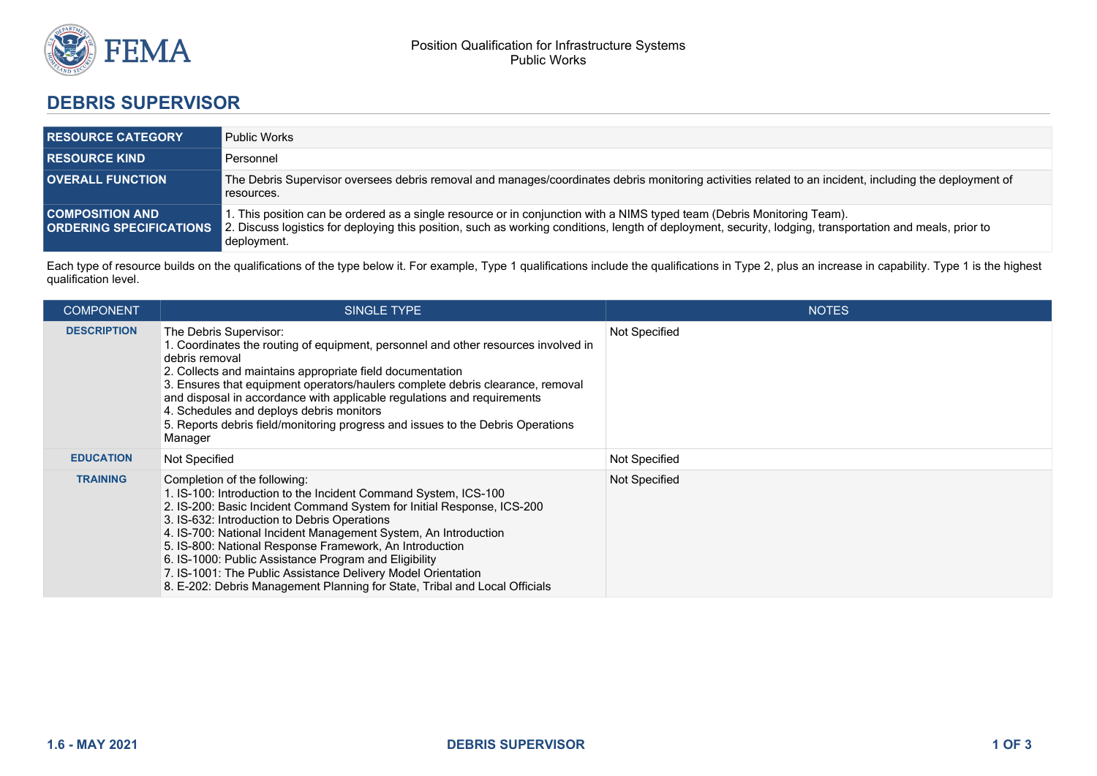

## **DEBRIS SUPERVISOR**

| <b>RESOURCE CATEGORY</b> | <b>Public Works</b>                                                                                                                                                                                                                                                                                                                |
|--------------------------|------------------------------------------------------------------------------------------------------------------------------------------------------------------------------------------------------------------------------------------------------------------------------------------------------------------------------------|
| <b>RESOURCE KIND</b>     | Personnel                                                                                                                                                                                                                                                                                                                          |
| <b>OVERALL FUNCTION</b>  | The Debris Supervisor oversees debris removal and manages/coordinates debris monitoring activities related to an incident, including the deployment of<br>resources.                                                                                                                                                               |
| <b>COMPOSITION AND .</b> | 1. This position can be ordered as a single resource or in conjunction with a NIMS typed team (Debris Monitoring Team).<br><b>ORDERING SPECIFICATIONS</b> 2. Discuss logistics for deploying this position, such as working conditions, length of deployment, security, lodging, transportation and meals, prior to<br>deployment. |

Each type of resource builds on the qualifications of the type below it. For example, Type 1 qualifications include the qualifications in Type 2, plus an increase in capability. Type 1 is the highest qualification level.

| <b>COMPONENT</b>   | SINGLE TYPE                                                                                                                                                                                                                                                                                                                                                                                                                                                                                                                                                    | <b>NOTES</b>  |
|--------------------|----------------------------------------------------------------------------------------------------------------------------------------------------------------------------------------------------------------------------------------------------------------------------------------------------------------------------------------------------------------------------------------------------------------------------------------------------------------------------------------------------------------------------------------------------------------|---------------|
| <b>DESCRIPTION</b> | The Debris Supervisor:<br>1. Coordinates the routing of equipment, personnel and other resources involved in<br>debris removal<br>2. Collects and maintains appropriate field documentation<br>3. Ensures that equipment operators/haulers complete debris clearance, removal<br>and disposal in accordance with applicable regulations and requirements<br>4. Schedules and deploys debris monitors<br>5. Reports debris field/monitoring progress and issues to the Debris Operations<br>Manager                                                             | Not Specified |
| <b>EDUCATION</b>   | Not Specified                                                                                                                                                                                                                                                                                                                                                                                                                                                                                                                                                  | Not Specified |
| <b>TRAINING</b>    | Completion of the following:<br>1. IS-100: Introduction to the Incident Command System, ICS-100<br>2. IS-200: Basic Incident Command System for Initial Response, ICS-200<br>3. IS-632: Introduction to Debris Operations<br>4. IS-700: National Incident Management System, An Introduction<br>5. IS-800: National Response Framework, An Introduction<br>6. IS-1000: Public Assistance Program and Eligibility<br>7. IS-1001: The Public Assistance Delivery Model Orientation<br>8. E-202: Debris Management Planning for State, Tribal and Local Officials | Not Specified |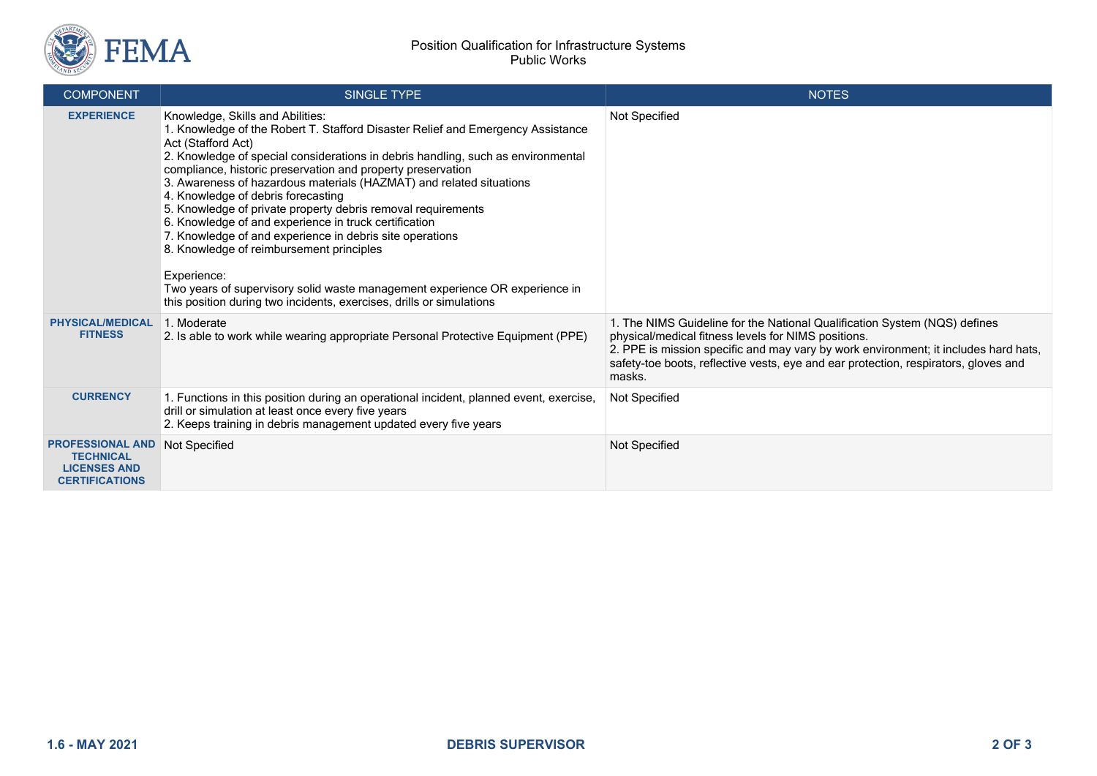

| <b>COMPONENT</b>                                                                            | <b>SINGLE TYPE</b>                                                                                                                                                                                                                                                                                                                                                                                                                                                                                                                                                                                                                                                                                                                                                                                               | <b>NOTES</b>                                                                                                                                                                                                                                                                                                             |
|---------------------------------------------------------------------------------------------|------------------------------------------------------------------------------------------------------------------------------------------------------------------------------------------------------------------------------------------------------------------------------------------------------------------------------------------------------------------------------------------------------------------------------------------------------------------------------------------------------------------------------------------------------------------------------------------------------------------------------------------------------------------------------------------------------------------------------------------------------------------------------------------------------------------|--------------------------------------------------------------------------------------------------------------------------------------------------------------------------------------------------------------------------------------------------------------------------------------------------------------------------|
| <b>EXPERIENCE</b>                                                                           | Knowledge, Skills and Abilities:<br>1. Knowledge of the Robert T. Stafford Disaster Relief and Emergency Assistance<br>Act (Stafford Act)<br>2. Knowledge of special considerations in debris handling, such as environmental<br>compliance, historic preservation and property preservation<br>3. Awareness of hazardous materials (HAZMAT) and related situations<br>4. Knowledge of debris forecasting<br>5. Knowledge of private property debris removal requirements<br>6. Knowledge of and experience in truck certification<br>7. Knowledge of and experience in debris site operations<br>8. Knowledge of reimbursement principles<br>Experience:<br>Two years of supervisory solid waste management experience OR experience in<br>this position during two incidents, exercises, drills or simulations | Not Specified                                                                                                                                                                                                                                                                                                            |
| <b>PHYSICAL/MEDICAL</b><br><b>FITNESS</b>                                                   | 1. Moderate<br>2. Is able to work while wearing appropriate Personal Protective Equipment (PPE)                                                                                                                                                                                                                                                                                                                                                                                                                                                                                                                                                                                                                                                                                                                  | 1. The NIMS Guideline for the National Qualification System (NQS) defines<br>physical/medical fitness levels for NIMS positions.<br>2. PPE is mission specific and may vary by work environment; it includes hard hats,<br>safety-toe boots, reflective vests, eye and ear protection, respirators, gloves and<br>masks. |
| <b>CURRENCY</b>                                                                             | 1. Functions in this position during an operational incident, planned event, exercise,<br>drill or simulation at least once every five years<br>2. Keeps training in debris management updated every five years                                                                                                                                                                                                                                                                                                                                                                                                                                                                                                                                                                                                  | Not Specified                                                                                                                                                                                                                                                                                                            |
| <b>PROFESSIONAL AND</b><br><b>TECHNICAL</b><br><b>LICENSES AND</b><br><b>CERTIFICATIONS</b> | Not Specified                                                                                                                                                                                                                                                                                                                                                                                                                                                                                                                                                                                                                                                                                                                                                                                                    | Not Specified                                                                                                                                                                                                                                                                                                            |